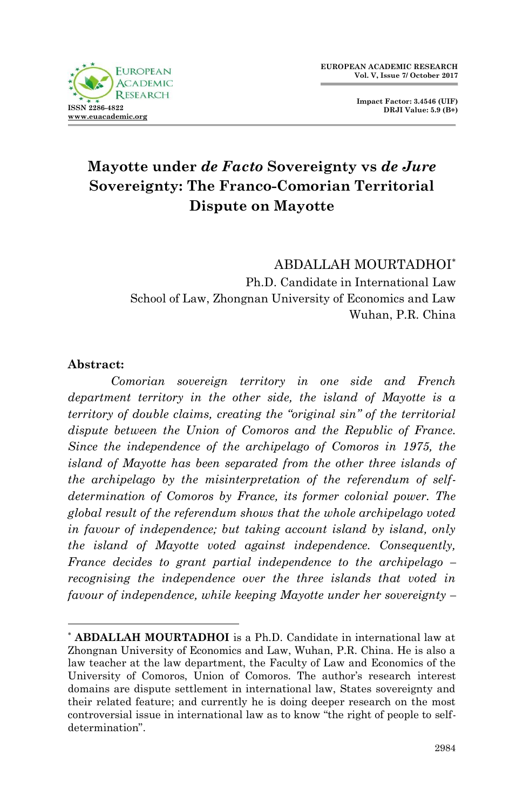

**Impact Factor: 3.4546 (UIF) DRJI Value: 5.9 (B+)**

# **Mayotte under** *de Facto* **Sovereignty vs** *de Jure* **Sovereignty: The Franco-Comorian Territorial Dispute on Mayotte**

ABDALLAH MOURTADHOI Ph.D. Candidate in International Law School of Law, Zhongnan University of Economics and Law Wuhan, P.R. China

#### **Abstract:**

1

*Comorian sovereign territory in one side and French department territory in the other side, the island of Mayotte is a territory of double claims, creating the "original sin" of the territorial dispute between the Union of Comoros and the Republic of France. Since the independence of the archipelago of Comoros in 1975, the island of Mayotte has been separated from the other three islands of the archipelago by the misinterpretation of the referendum of selfdetermination of Comoros by France, its former colonial power. The global result of the referendum shows that the whole archipelago voted in favour of independence; but taking account island by island, only the island of Mayotte voted against independence. Consequently, France decides to grant partial independence to the archipelago – recognising the independence over the three islands that voted in favour of independence, while keeping Mayotte under her sovereignty –*

**ABDALLAH MOURTADHOI** is a Ph.D. Candidate in international law at Zhongnan University of Economics and Law, Wuhan, P.R. China. He is also a law teacher at the law department, the Faculty of Law and Economics of the University of Comoros, Union of Comoros. The author"s research interest domains are dispute settlement in international law, States sovereignty and their related feature; and currently he is doing deeper research on the most controversial issue in international law as to know "the right of people to selfdetermination".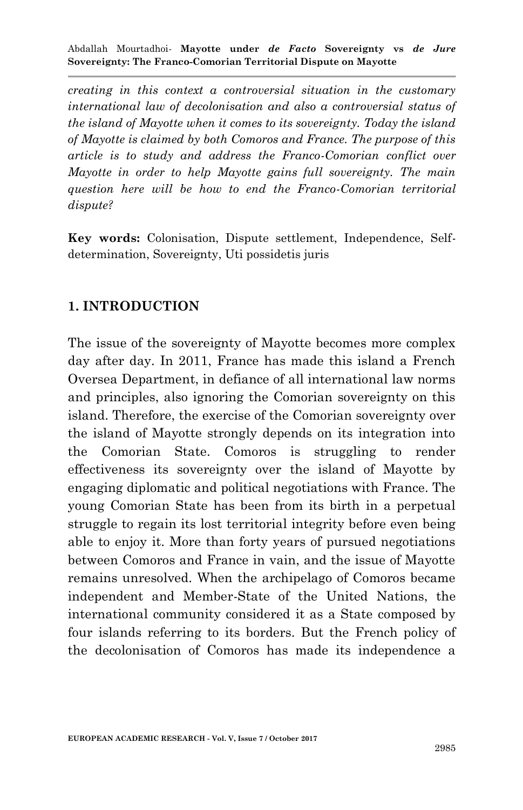*creating in this context a controversial situation in the customary international law of decolonisation and also a controversial status of the island of Mayotte when it comes to its sovereignty. Today the island of Mayotte is claimed by both Comoros and France. The purpose of this article is to study and address the Franco-Comorian conflict over Mayotte in order to help Mayotte gains full sovereignty. The main question here will be how to end the Franco-Comorian territorial dispute?*

**Key words:** Colonisation, Dispute settlement, Independence, Selfdetermination, Sovereignty, Uti possidetis juris

#### **1. INTRODUCTION**

The issue of the sovereignty of Mayotte becomes more complex day after day. In 2011, France has made this island a French Oversea Department, in defiance of all international law norms and principles, also ignoring the Comorian sovereignty on this island. Therefore, the exercise of the Comorian sovereignty over the island of Mayotte strongly depends on its integration into the Comorian State. Comoros is struggling to render effectiveness its sovereignty over the island of Mayotte by engaging diplomatic and political negotiations with France. The young Comorian State has been from its birth in a perpetual struggle to regain its lost territorial integrity before even being able to enjoy it. More than forty years of pursued negotiations between Comoros and France in vain, and the issue of Mayotte remains unresolved. When the archipelago of Comoros became independent and Member-State of the United Nations, the international community considered it as a State composed by four islands referring to its borders. But the French policy of the decolonisation of Comoros has made its independence a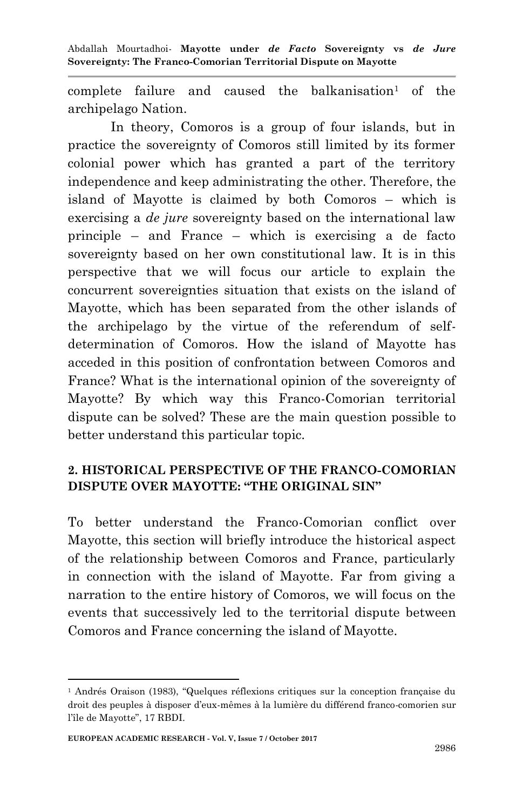complete failure and caused the balkanisation<sup>1</sup> of the archipelago Nation.

In theory, Comoros is a group of four islands, but in practice the sovereignty of Comoros still limited by its former colonial power which has granted a part of the territory independence and keep administrating the other. Therefore, the island of Mayotte is claimed by both Comoros – which is exercising a *de jure* sovereignty based on the international law principle – and France – which is exercising a de facto sovereignty based on her own constitutional law. It is in this perspective that we will focus our article to explain the concurrent sovereignties situation that exists on the island of Mayotte, which has been separated from the other islands of the archipelago by the virtue of the referendum of selfdetermination of Comoros. How the island of Mayotte has acceded in this position of confrontation between Comoros and France? What is the international opinion of the sovereignty of Mayotte? By which way this Franco-Comorian territorial dispute can be solved? These are the main question possible to better understand this particular topic.

#### **2. HISTORICAL PERSPECTIVE OF THE FRANCO-COMORIAN DISPUTE OVER MAYOTTE: "THE ORIGINAL SIN"**

To better understand the Franco-Comorian conflict over Mayotte, this section will briefly introduce the historical aspect of the relationship between Comoros and France, particularly in connection with the island of Mayotte. Far from giving a narration to the entire history of Comoros, we will focus on the events that successively led to the territorial dispute between Comoros and France concerning the island of Mayotte.

<sup>1</sup> Andrés Oraison (1983), "Quelques réflexions critiques sur la conception française du droit des peuples à disposer d"eux-mêmes à la lumière du différend franco-comorien sur l"île de Mayotte", 17 RBDI.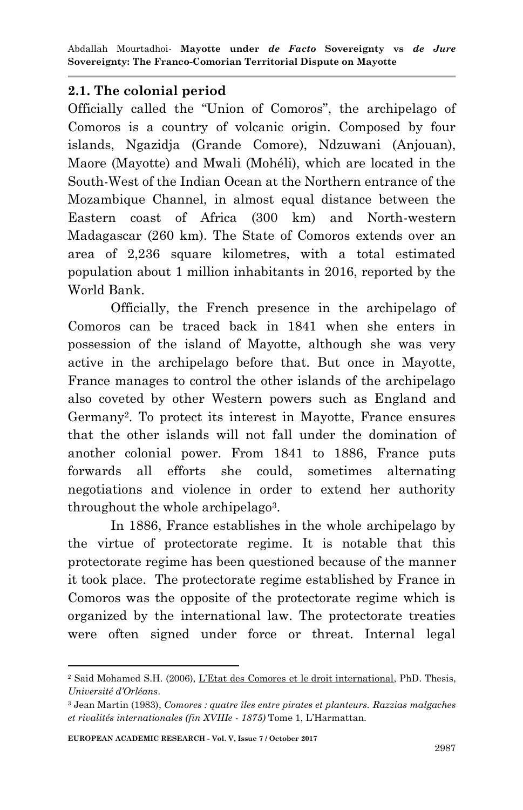#### **2.1. The colonial period**

Officially called the "Union of Comoros", the archipelago of Comoros is a country of volcanic origin. Composed by four islands, Ngazidja (Grande Comore), Ndzuwani (Anjouan), Maore (Mayotte) and Mwali (Mohéli), which are located in the South-West of the Indian Ocean at the Northern entrance of the Mozambique Channel, in almost equal distance between the Eastern coast of Africa (300 km) and North-western Madagascar (260 km). The State of Comoros extends over an area of 2,236 square kilometres, with a total estimated population about 1 million inhabitants in 2016, reported by the World Bank.

Officially, the French presence in the archipelago of Comoros can be traced back in 1841 when she enters in possession of the island of Mayotte, although she was very active in the archipelago before that. But once in Mayotte, France manages to control the other islands of the archipelago also coveted by other Western powers such as England and Germany<sup>2</sup> . To protect its interest in Mayotte, France ensures that the other islands will not fall under the domination of another colonial power. From 1841 to 1886, France puts forwards all efforts she could, sometimes alternating negotiations and violence in order to extend her authority throughout the whole archipelago<sup>3</sup>.

In 1886, France establishes in the whole archipelago by the virtue of protectorate regime. It is notable that this protectorate regime has been questioned because of the manner it took place. The protectorate regime established by France in Comoros was the opposite of the protectorate regime which is organized by the international law. The protectorate treaties were often signed under force or threat. Internal legal

<sup>1</sup> <sup>2</sup> Said Mohamed S.H. (2006), L"Etat des Comores et le droit international, PhD. Thesis, *Université d'Orléans*.

<sup>3</sup> Jean Martin (1983), *Comores : quatre îles entre pirates et planteurs. Razzias malgaches et rivalités internationales (fin XVIIIe - 1875)* Tome 1, L"Harmattan.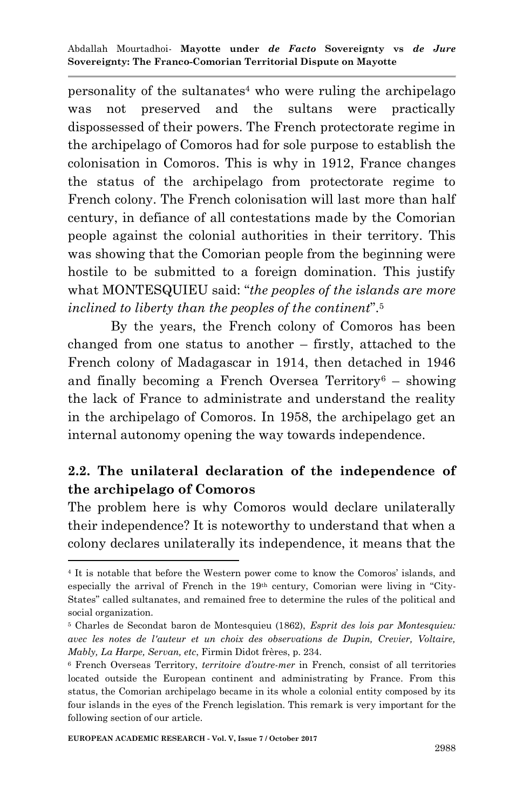personality of the sultanates<sup>4</sup> who were ruling the archipelago was not preserved and the sultans were practically dispossessed of their powers. The French protectorate regime in the archipelago of Comoros had for sole purpose to establish the colonisation in Comoros. This is why in 1912, France changes the status of the archipelago from protectorate regime to French colony. The French colonisation will last more than half century, in defiance of all contestations made by the Comorian people against the colonial authorities in their territory. This was showing that the Comorian people from the beginning were hostile to be submitted to a foreign domination. This justify what MONTESQUIEU said: "*the peoples of the islands are more inclined to liberty than the peoples of the continent*".<sup>5</sup>

By the years, the French colony of Comoros has been changed from one status to another – firstly, attached to the French colony of Madagascar in 1914, then detached in 1946 and finally becoming a French Oversea Territory<sup>6</sup> – showing the lack of France to administrate and understand the reality in the archipelago of Comoros. In 1958, the archipelago get an internal autonomy opening the way towards independence.

# **2.2. The unilateral declaration of the independence of the archipelago of Comoros**

The problem here is why Comoros would declare unilaterally their independence? It is noteworthy to understand that when a colony declares unilaterally its independence, it means that the

<sup>4</sup> It is notable that before the Western power come to know the Comoros" islands, and especially the arrival of French in the 19th century, Comorian were living in "City-States" called sultanates, and remained free to determine the rules of the political and social organization.

<sup>5</sup> Charles de Secondat baron de Montesquieu (1862), *Esprit des lois par Montesquieu: avec les notes de l'auteur et un choix des observations de Dupin, Crevier, Voltaire, Mably, La Harpe, Servan, etc*, Firmin Didot frères, p. 234.

<sup>6</sup> French Overseas Territory, *territoire d'outre-mer* in French, consist of all territories located outside the European continent and administrating by France. From this status, the Comorian archipelago became in its whole a colonial entity composed by its four islands in the eyes of the French legislation. This remark is very important for the following section of our article.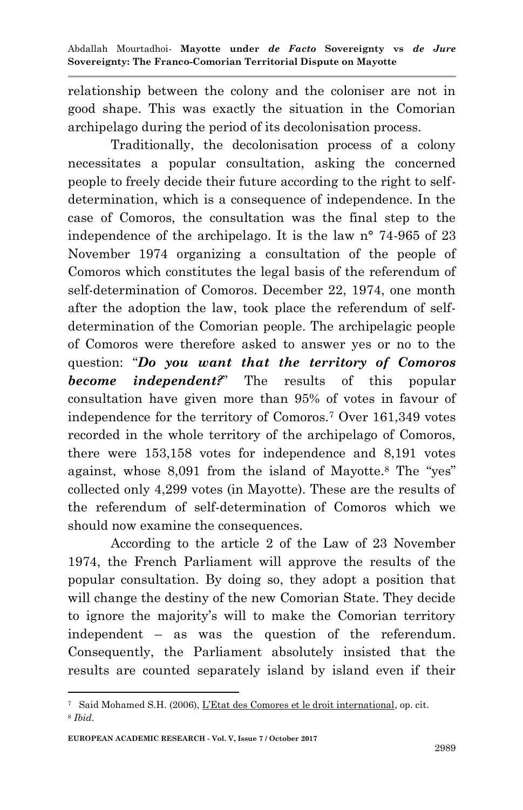relationship between the colony and the coloniser are not in good shape. This was exactly the situation in the Comorian archipelago during the period of its decolonisation process.

Traditionally, the decolonisation process of a colony necessitates a popular consultation, asking the concerned people to freely decide their future according to the right to selfdetermination, which is a consequence of independence. In the case of Comoros, the consultation was the final step to the independence of the archipelago. It is the law n° 74-965 of 23 November 1974 organizing a consultation of the people of Comoros which constitutes the legal basis of the referendum of self-determination of Comoros. December 22, 1974, one month after the adoption the law, took place the referendum of selfdetermination of the Comorian people. The archipelagic people of Comoros were therefore asked to answer yes or no to the question: "*Do you want that the territory of Comoros become independent?*" The results of this popular consultation have given more than 95% of votes in favour of independence for the territory of Comoros.<sup>7</sup> Over 161,349 votes recorded in the whole territory of the archipelago of Comoros, there were 153,158 votes for independence and 8,191 votes against, whose 8,091 from the island of Mayotte.<sup>8</sup> The "yes" collected only 4,299 votes (in Mayotte). These are the results of the referendum of self-determination of Comoros which we should now examine the consequences.

According to the article 2 of the Law of 23 November 1974, the French Parliament will approve the results of the popular consultation. By doing so, they adopt a position that will change the destiny of the new Comorian State. They decide to ignore the majority"s will to make the Comorian territory independent – as was the question of the referendum. Consequently, the Parliament absolutely insisted that the results are counted separately island by island even if their

<sup>1</sup> <sup>7</sup> Said Mohamed S.H. (2006), L"Etat des Comores et le droit international, op. cit. <sup>8</sup> *Ibid.*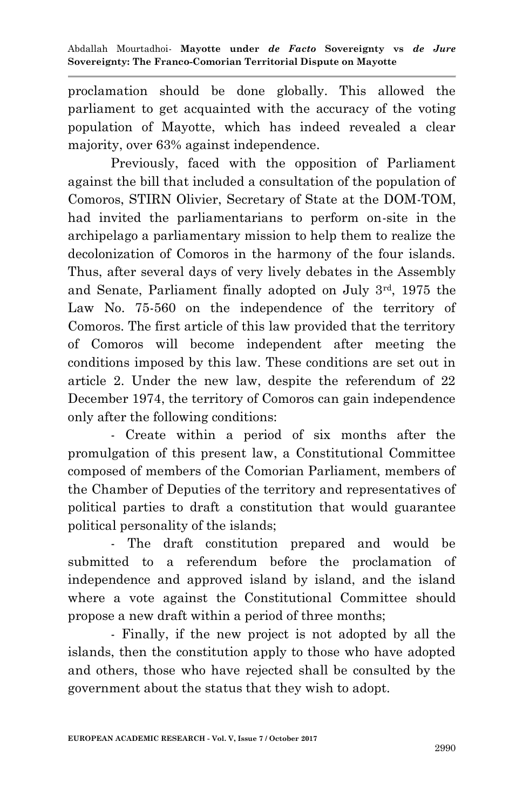proclamation should be done globally. This allowed the parliament to get acquainted with the accuracy of the voting population of Mayotte, which has indeed revealed a clear majority, over 63% against independence.

Previously, faced with the opposition of Parliament against the bill that included a consultation of the population of Comoros, STIRN Olivier, Secretary of State at the DOM-TOM, had invited the parliamentarians to perform on-site in the archipelago a parliamentary mission to help them to realize the decolonization of Comoros in the harmony of the four islands. Thus, after several days of very lively debates in the Assembly and Senate, Parliament finally adopted on July 3rd, 1975 the Law No. 75-560 on the independence of the territory of Comoros. The first article of this law provided that the territory of Comoros will become independent after meeting the conditions imposed by this law. These conditions are set out in article 2. Under the new law, despite the referendum of 22 December 1974, the territory of Comoros can gain independence only after the following conditions:

- Create within a period of six months after the promulgation of this present law, a Constitutional Committee composed of members of the Comorian Parliament, members of the Chamber of Deputies of the territory and representatives of political parties to draft a constitution that would guarantee political personality of the islands;

The draft constitution prepared and would be submitted to a referendum before the proclamation of independence and approved island by island, and the island where a vote against the Constitutional Committee should propose a new draft within a period of three months;

- Finally, if the new project is not adopted by all the islands, then the constitution apply to those who have adopted and others, those who have rejected shall be consulted by the government about the status that they wish to adopt.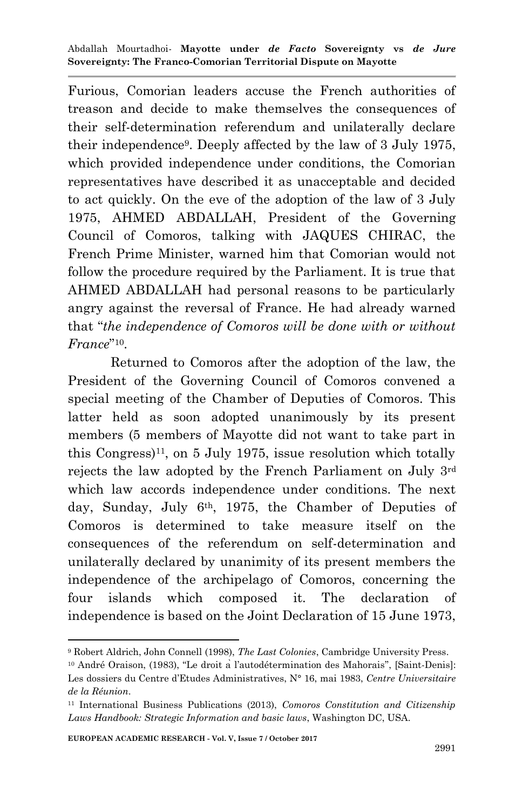Furious, Comorian leaders accuse the French authorities of treason and decide to make themselves the consequences of their self-determination referendum and unilaterally declare their independence<sup>9</sup> . Deeply affected by the law of 3 July 1975, which provided independence under conditions, the Comorian representatives have described it as unacceptable and decided to act quickly. On the eve of the adoption of the law of 3 July 1975, AHMED ABDALLAH, President of the Governing Council of Comoros, talking with JAQUES CHIRAC, the French Prime Minister, warned him that Comorian would not follow the procedure required by the Parliament. It is true that AHMED ABDALLAH had personal reasons to be particularly angry against the reversal of France. He had already warned that "*the independence of Comoros will be done with or without France*" 10 .

Returned to Comoros after the adoption of the law, the President of the Governing Council of Comoros convened a special meeting of the Chamber of Deputies of Comoros. This latter held as soon adopted unanimously by its present members (5 members of Mayotte did not want to take part in this Congress)<sup>11</sup>, on 5 July 1975, issue resolution which totally rejects the law adopted by the French Parliament on July 3rd which law accords independence under conditions. The next day, Sunday, July 6th, 1975, the Chamber of Deputies of Comoros is determined to take measure itself on the consequences of the referendum on self-determination and unilaterally declared by unanimity of its present members the independence of the archipelago of Comoros, concerning the four islands which composed it. The declaration of independence is based on the Joint Declaration of 15 June 1973,

<sup>9</sup> Robert Aldrich, John Connell (1998), *The Last Colonies*, Cambridge University Press.

<sup>&</sup>lt;sup>10</sup> André Oraison, (1983), "Le droit a l'autodétermination des Mahorais", [Saint-Denis]: Les dossiers du Centre d"Etudes Administratives, N° 16, mai 1983, *Centre Universitaire de la Réunion*.

<sup>11</sup> International Business Publications (2013), *Comoros Constitution and Citizenship Laws Handbook: Strategic Information and basic laws*, Washington DC, USA.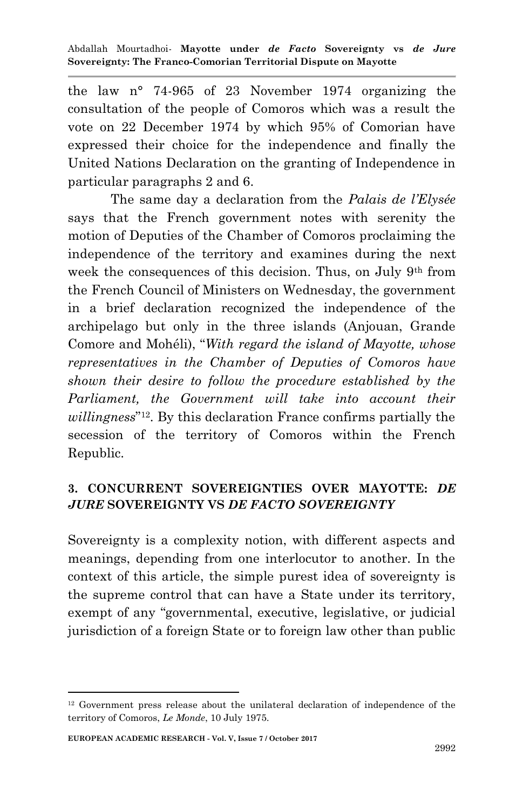the law n° 74-965 of 23 November 1974 organizing the consultation of the people of Comoros which was a result the vote on 22 December 1974 by which 95% of Comorian have expressed their choice for the independence and finally the United Nations Declaration on the granting of Independence in particular paragraphs 2 and 6.

The same day a declaration from the *Palais de l'Elysée*  says that the French government notes with serenity the motion of Deputies of the Chamber of Comoros proclaiming the independence of the territory and examines during the next week the consequences of this decision. Thus, on July 9th from the French Council of Ministers on Wednesday, the government in a brief declaration recognized the independence of the archipelago but only in the three islands (Anjouan, Grande Comore and Mohéli), "*With regard the island of Mayotte, whose representatives in the Chamber of Deputies of Comoros have shown their desire to follow the procedure established by the Parliament, the Government will take into account their willingness*" <sup>12</sup>. By this declaration France confirms partially the secession of the territory of Comoros within the French Republic.

#### **3. CONCURRENT SOVEREIGNTIES OVER MAYOTTE:** *DE JURE* **SOVEREIGNTY VS** *DE FACTO SOVEREIGNTY*

Sovereignty is a complexity notion, with different aspects and meanings, depending from one interlocutor to another. In the context of this article, the simple purest idea of sovereignty is the supreme control that can have a State under its territory, exempt of any "governmental, executive, legislative, or judicial jurisdiction of a foreign State or to foreign law other than public

<sup>12</sup> Government press release about the unilateral declaration of independence of the territory of Comoros, *Le Monde*, 10 July 1975.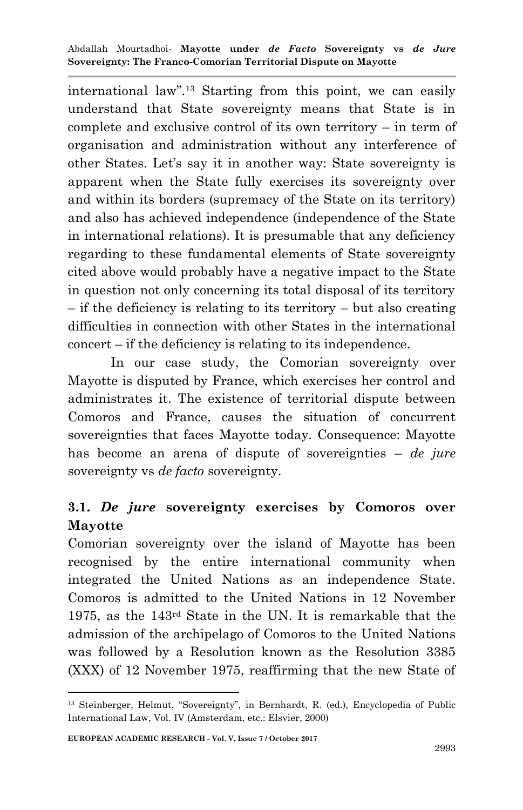international law".<sup>13</sup> Starting from this point, we can easily understand that State sovereignty means that State is in complete and exclusive control of its own territory – in term of organisation and administration without any interference of other States. Let"s say it in another way: State sovereignty is apparent when the State fully exercises its sovereignty over and within its borders (supremacy of the State on its territory) and also has achieved independence (independence of the State in international relations). It is presumable that any deficiency regarding to these fundamental elements of State sovereignty cited above would probably have a negative impact to the State in question not only concerning its total disposal of its territory – if the deficiency is relating to its territory – but also creating difficulties in connection with other States in the international concert – if the deficiency is relating to its independence.

In our case study, the Comorian sovereignty over Mayotte is disputed by France, which exercises her control and administrates it. The existence of territorial dispute between Comoros and France, causes the situation of concurrent sovereignties that faces Mayotte today. Consequence: Mayotte has become an arena of dispute of sovereignties – *de jure*  sovereignty vs *de facto* sovereignty.

# **3.1.** *De jure* **sovereignty exercises by Comoros over Mayotte**

Comorian sovereignty over the island of Mayotte has been recognised by the entire international community when integrated the United Nations as an independence State. Comoros is admitted to the United Nations in 12 November 1975, as the 143rd State in the UN. It is remarkable that the admission of the archipelago of Comoros to the United Nations was followed by a Resolution known as the Resolution 3385 (XXX) of 12 November 1975, reaffirming that the new State of

<sup>13</sup> Steinberger, Helmut, "Sovereignty", in Bernhardt, R. (ed.), Encyclopedia of Public International Law, Vol. IV (Amsterdam, etc.: Elsvier, 2000)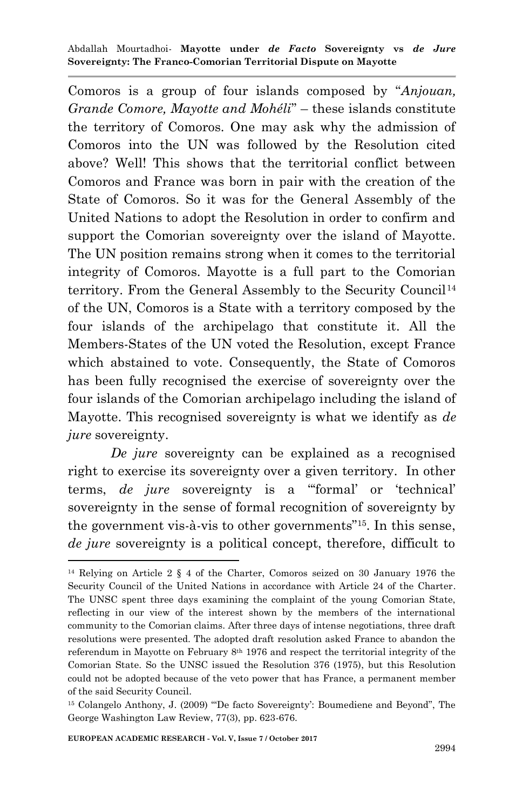Comoros is a group of four islands composed by "*Anjouan, Grande Comore, Mayotte and Mohéli*" – these islands constitute the territory of Comoros. One may ask why the admission of Comoros into the UN was followed by the Resolution cited above? Well! This shows that the territorial conflict between Comoros and France was born in pair with the creation of the State of Comoros. So it was for the General Assembly of the United Nations to adopt the Resolution in order to confirm and support the Comorian sovereignty over the island of Mayotte. The UN position remains strong when it comes to the territorial integrity of Comoros. Mayotte is a full part to the Comorian territory. From the General Assembly to the Security Council<sup>14</sup> of the UN, Comoros is a State with a territory composed by the four islands of the archipelago that constitute it. All the Members-States of the UN voted the Resolution, except France which abstained to vote. Consequently, the State of Comoros has been fully recognised the exercise of sovereignty over the four islands of the Comorian archipelago including the island of Mayotte. This recognised sovereignty is what we identify as *de jure* sovereignty.

*De jure* sovereignty can be explained as a recognised right to exercise its sovereignty over a given territory. In other terms, *de jure* sovereignty is a ""formal" or "technical" sovereignty in the sense of formal recognition of sovereignty by the government vis-à-vis to other governments"15. In this sense, *de jure* sovereignty is a political concept, therefore, difficult to

<sup>14</sup> Relying on Article 2 § 4 of the Charter, Comoros seized on 30 January 1976 the Security Council of the United Nations in accordance with Article 24 of the Charter. The UNSC spent three days examining the complaint of the young Comorian State, reflecting in our view of the interest shown by the members of the international community to the Comorian claims. After three days of intense negotiations, three draft resolutions were presented. The adopted draft resolution asked France to abandon the referendum in Mayotte on February  $8<sup>th</sup> 1976$  and respect the territorial integrity of the Comorian State. So the UNSC issued the Resolution 376 (1975), but this Resolution could not be adopted because of the veto power that has France, a permanent member of the said Security Council.

<sup>15</sup> Colangelo Anthony, J. (2009) ""De facto Sovereignty": Boumediene and Beyond", The George Washington Law Review, 77(3), pp. 623-676.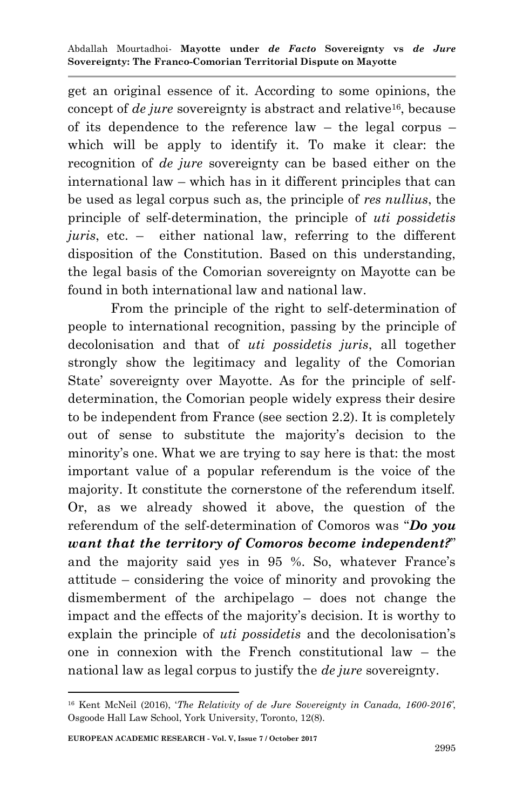get an original essence of it. According to some opinions, the concept of *de jure* sovereignty is abstract and relative<sup>16</sup>, because of its dependence to the reference law – the legal corpus – which will be apply to identify it. To make it clear: the recognition of *de jure* sovereignty can be based either on the international law – which has in it different principles that can be used as legal corpus such as, the principle of *res nullius*, the principle of self-determination, the principle of *uti possidetis juris*, etc. – either national law, referring to the different disposition of the Constitution. Based on this understanding, the legal basis of the Comorian sovereignty on Mayotte can be found in both international law and national law.

From the principle of the right to self-determination of people to international recognition, passing by the principle of decolonisation and that of *uti possidetis juris*, all together strongly show the legitimacy and legality of the Comorian State' sovereignty over Mayotte. As for the principle of selfdetermination, the Comorian people widely express their desire to be independent from France (see section 2.2). It is completely out of sense to substitute the majority"s decision to the minority's one. What we are trying to say here is that: the most important value of a popular referendum is the voice of the majority. It constitute the cornerstone of the referendum itself. Or, as we already showed it above, the question of the referendum of the self-determination of Comoros was "*Do you want that the territory of Comoros become independent?*" and the majority said yes in 95 %. So, whatever France's attitude – considering the voice of minority and provoking the dismemberment of the archipelago – does not change the impact and the effects of the majority's decision. It is worthy to explain the principle of *uti possidetis* and the decolonisation"s one in connexion with the French constitutional law – the national law as legal corpus to justify the *de jure* sovereignty.

<sup>16</sup> Kent McNeil (2016), "*The Relativity of de Jure Sovereignty in Canada, 1600-2016'*, Osgoode Hall Law School, York University, Toronto, 12(8).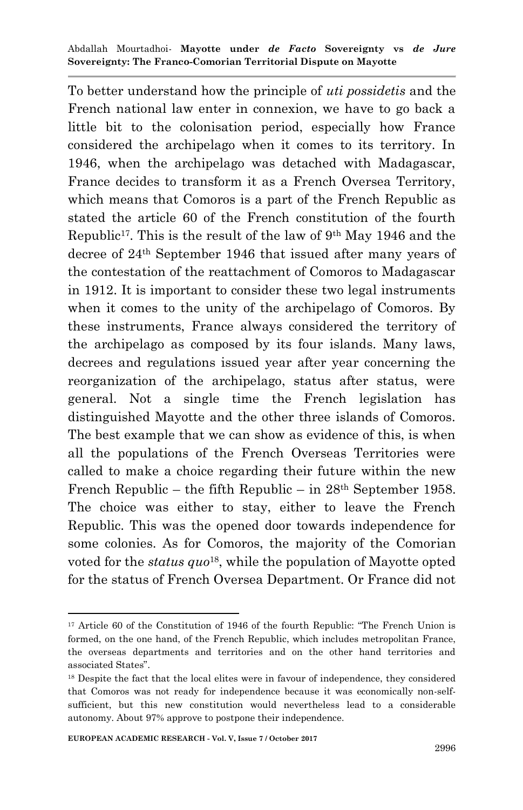To better understand how the principle of *uti possidetis* and the French national law enter in connexion, we have to go back a little bit to the colonisation period, especially how France considered the archipelago when it comes to its territory. In 1946, when the archipelago was detached with Madagascar, France decides to transform it as a French Oversea Territory, which means that Comoros is a part of the French Republic as stated the article 60 of the French constitution of the fourth Republic<sup>17</sup>. This is the result of the law of  $9<sup>th</sup>$  May 1946 and the decree of 24th September 1946 that issued after many years of the contestation of the reattachment of Comoros to Madagascar in 1912. It is important to consider these two legal instruments when it comes to the unity of the archipelago of Comoros. By these instruments, France always considered the territory of the archipelago as composed by its four islands. Many laws, decrees and regulations issued year after year concerning the reorganization of the archipelago, status after status, were general. Not a single time the French legislation has distinguished Mayotte and the other three islands of Comoros. The best example that we can show as evidence of this, is when all the populations of the French Overseas Territories were called to make a choice regarding their future within the new French Republic – the fifth Republic – in  $28<sup>th</sup>$  September 1958. The choice was either to stay, either to leave the French Republic. This was the opened door towards independence for some colonies. As for Comoros, the majority of the Comorian voted for the *status quo*18, while the population of Mayotte opted for the status of French Oversea Department. Or France did not

<sup>17</sup> Article 60 of the Constitution of 1946 of the fourth Republic: "The French Union is formed, on the one hand, of the French Republic, which includes metropolitan France, the overseas departments and territories and on the other hand territories and associated States".

<sup>&</sup>lt;sup>18</sup> Despite the fact that the local elites were in favour of independence, they considered that Comoros was not ready for independence because it was economically non-selfsufficient, but this new constitution would nevertheless lead to a considerable autonomy. About 97% approve to postpone their independence.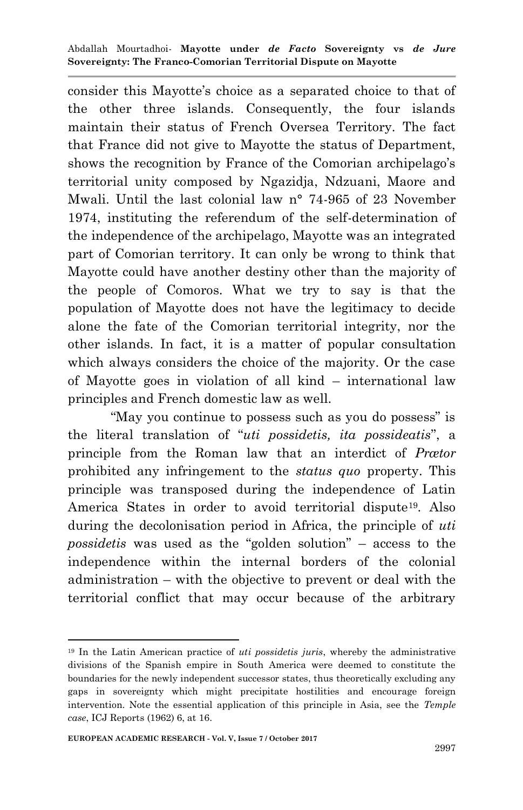consider this Mayotte"s choice as a separated choice to that of the other three islands. Consequently, the four islands maintain their status of French Oversea Territory. The fact that France did not give to Mayotte the status of Department, shows the recognition by France of the Comorian archipelago's territorial unity composed by Ngazidja, Ndzuani, Maore and Mwali. Until the last colonial law n° 74-965 of 23 November 1974, instituting the referendum of the self-determination of the independence of the archipelago, Mayotte was an integrated part of Comorian territory. It can only be wrong to think that Mayotte could have another destiny other than the majority of the people of Comoros. What we try to say is that the population of Mayotte does not have the legitimacy to decide alone the fate of the Comorian territorial integrity, nor the other islands. In fact, it is a matter of popular consultation which always considers the choice of the majority. Or the case of Mayotte goes in violation of all kind – international law principles and French domestic law as well.

"May you continue to possess such as you do possess" is the literal translation of "*uti possidetis, ita possideatis*", a principle from the Roman law that an interdict of *Prætor* prohibited any infringement to the *status quo* property. This principle was transposed during the independence of Latin America States in order to avoid territorial dispute<sup>19</sup>. Also during the decolonisation period in Africa, the principle of *uti possidetis* was used as the "golden solution" – access to the independence within the internal borders of the colonial administration – with the objective to prevent or deal with the territorial conflict that may occur because of the arbitrary

<sup>19</sup> In the Latin American practice of *uti possidetis juris*, whereby the administrative divisions of the Spanish empire in South America were deemed to constitute the boundaries for the newly independent successor states, thus theoretically excluding any gaps in sovereignty which might precipitate hostilities and encourage foreign intervention. Note the essential application of this principle in Asia, see the *Temple case*, ICJ Reports (1962) 6, at 16.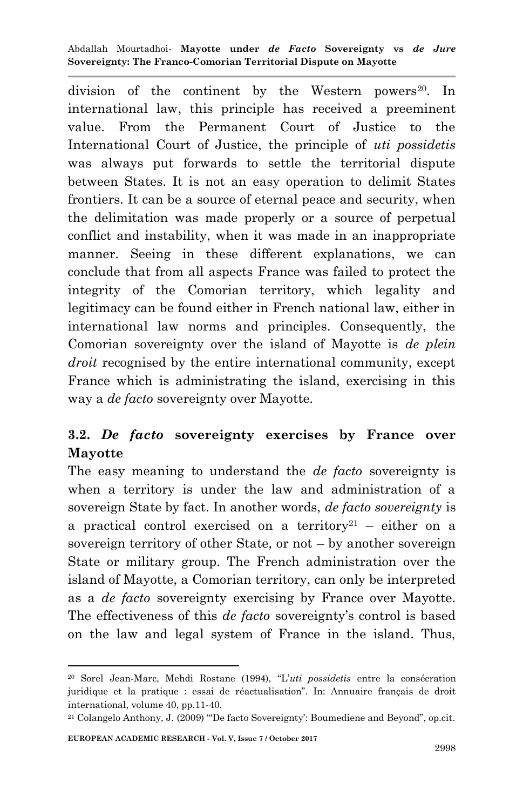division of the continent by the Western powers<sup>20</sup>. In international law, this principle has received a preeminent value. From the Permanent Court of Justice to the International Court of Justice, the principle of *uti possidetis* was always put forwards to settle the territorial dispute between States. It is not an easy operation to delimit States frontiers. It can be a source of eternal peace and security, when the delimitation was made properly or a source of perpetual conflict and instability, when it was made in an inappropriate manner. Seeing in these different explanations, we can conclude that from all aspects France was failed to protect the integrity of the Comorian territory, which legality and legitimacy can be found either in French national law, either in international law norms and principles. Consequently, the Comorian sovereignty over the island of Mayotte is *de plein droit* recognised by the entire international community, except France which is administrating the island, exercising in this way a *de facto* sovereignty over Mayotte.

# **3.2.** *De facto* **sovereignty exercises by France over Mayotte**

The easy meaning to understand the *de facto* sovereignty is when a territory is under the law and administration of a sovereign State by fact. In another words, *de facto sovereignty* is a practical control exercised on a territory<sup>21</sup> – either on a sovereign territory of other State, or not – by another sovereign State or military group. The French administration over the island of Mayotte, a Comorian territory, can only be interpreted as a *de facto* sovereignty exercising by France over Mayotte. The effectiveness of this *de facto* sovereignty's control is based on the law and legal system of France in the island. Thus,

<sup>20</sup> Sorel Jean-Marc, Mehdi Rostane (1994), "L"*uti possidetis* entre la consécration juridique et la pratique : essai de réactualisation". In: Annuaire français de droit international, volume 40, pp.11-40.

<sup>21</sup> Colangelo Anthony, J. (2009) ""De facto Sovereignty": Boumediene and Beyond", op.cit.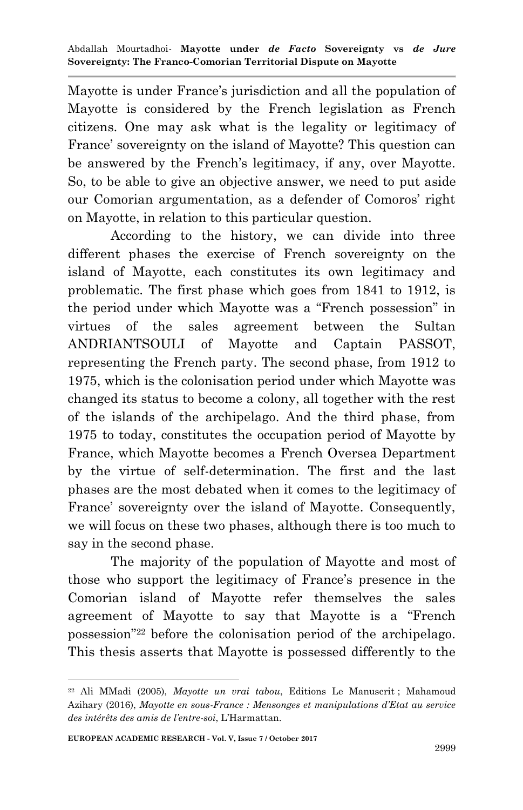Mayotte is under France"s jurisdiction and all the population of Mayotte is considered by the French legislation as French citizens. One may ask what is the legality or legitimacy of France' sovereignty on the island of Mayotte? This question can be answered by the French"s legitimacy, if any, over Mayotte. So, to be able to give an objective answer, we need to put aside our Comorian argumentation, as a defender of Comoros" right on Mayotte, in relation to this particular question.

According to the history, we can divide into three different phases the exercise of French sovereignty on the island of Mayotte, each constitutes its own legitimacy and problematic. The first phase which goes from 1841 to 1912, is the period under which Mayotte was a "French possession" in virtues of the sales agreement between the Sultan ANDRIANTSOULI of Mayotte and Captain PASSOT, representing the French party. The second phase, from 1912 to 1975, which is the colonisation period under which Mayotte was changed its status to become a colony, all together with the rest of the islands of the archipelago. And the third phase, from 1975 to today, constitutes the occupation period of Mayotte by France, which Mayotte becomes a French Oversea Department by the virtue of self-determination. The first and the last phases are the most debated when it comes to the legitimacy of France' sovereignty over the island of Mayotte. Consequently, we will focus on these two phases, although there is too much to say in the second phase.

The majority of the population of Mayotte and most of those who support the legitimacy of France"s presence in the Comorian island of Mayotte refer themselves the sales agreement of Mayotte to say that Mayotte is a "French possession"<sup>22</sup> before the colonisation period of the archipelago. This thesis asserts that Mayotte is possessed differently to the

<sup>22</sup> Ali MMadi (2005), *Mayotte un vrai tabou*, Editions Le Manuscrit ; Mahamoud Azihary (2016), *Mayotte en sous-France : Mensonges et manipulations d'Etat au service des intérêts des amis de l'entre-soi*, L"Harmattan.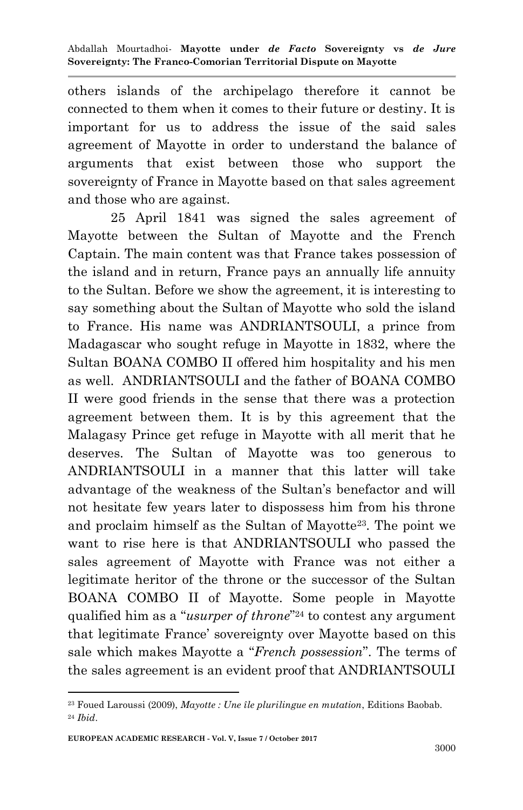others islands of the archipelago therefore it cannot be connected to them when it comes to their future or destiny. It is important for us to address the issue of the said sales agreement of Mayotte in order to understand the balance of arguments that exist between those who support the sovereignty of France in Mayotte based on that sales agreement and those who are against.

25 April 1841 was signed the sales agreement of Mayotte between the Sultan of Mayotte and the French Captain. The main content was that France takes possession of the island and in return, France pays an annually life annuity to the Sultan. Before we show the agreement, it is interesting to say something about the Sultan of Mayotte who sold the island to France. His name was ANDRIANTSOULI, a prince from Madagascar who sought refuge in Mayotte in 1832, where the Sultan BOANA COMBO II offered him hospitality and his men as well. ANDRIANTSOULI and the father of BOANA COMBO II were good friends in the sense that there was a protection agreement between them. It is by this agreement that the Malagasy Prince get refuge in Mayotte with all merit that he deserves. The Sultan of Mayotte was too generous to ANDRIANTSOULI in a manner that this latter will take advantage of the weakness of the Sultan's benefactor and will not hesitate few years later to dispossess him from his throne and proclaim himself as the Sultan of Mayotte23. The point we want to rise here is that ANDRIANTSOULI who passed the sales agreement of Mayotte with France was not either a legitimate heritor of the throne or the successor of the Sultan BOANA COMBO II of Mayotte. Some people in Mayotte qualified him as a "*usurper of throne*" <sup>24</sup> to contest any argument that legitimate France" sovereignty over Mayotte based on this sale which makes Mayotte a "*French possession*". The terms of the sales agreement is an evident proof that ANDRIANTSOULI

<sup>23</sup> Foued Laroussi (2009), *Mayotte : Une île plurilingue en mutation*, Editions Baobab. <sup>24</sup> *Ibid*.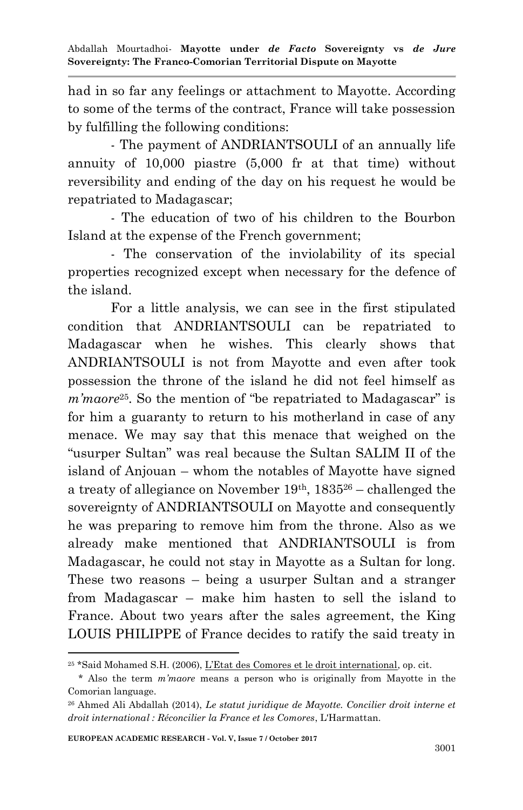had in so far any feelings or attachment to Mayotte. According to some of the terms of the contract, France will take possession by fulfilling the following conditions:

- The payment of ANDRIANTSOULI of an annually life annuity of 10,000 piastre (5,000 fr at that time) without reversibility and ending of the day on his request he would be repatriated to Madagascar;

- The education of two of his children to the Bourbon Island at the expense of the French government;

- The conservation of the inviolability of its special properties recognized except when necessary for the defence of the island.

For a little analysis, we can see in the first stipulated condition that ANDRIANTSOULI can be repatriated to Madagascar when he wishes. This clearly shows that ANDRIANTSOULI is not from Mayotte and even after took possession the throne of the island he did not feel himself as *m'maore*25. So the mention of "be repatriated to Madagascar" is for him a guaranty to return to his motherland in case of any menace. We may say that this menace that weighed on the "usurper Sultan" was real because the Sultan SALIM II of the island of Anjouan – whom the notables of Mayotte have signed a treaty of allegiance on November 19th, 1835<sup>26</sup> – challenged the sovereignty of ANDRIANTSOULI on Mayotte and consequently he was preparing to remove him from the throne. Also as we already make mentioned that ANDRIANTSOULI is from Madagascar, he could not stay in Mayotte as a Sultan for long. These two reasons – being a usurper Sultan and a stranger from Madagascar – make him hasten to sell the island to France. About two years after the sales agreement, the King LOUIS PHILIPPE of France decides to ratify the said treaty in

<sup>1</sup> <sup>25</sup> \*Said Mohamed S.H. (2006), L"Etat des Comores et le droit international, op. cit.

 <sup>\*</sup> Also the term *m'maore* means a person who is originally from Mayotte in the Comorian language.

<sup>26</sup> Ahmed Ali Abdallah (2014), *Le statut juridique de Mayotte. Concilier droit interne et droit international : Réconcilier la France et les Comores*, L'Harmattan.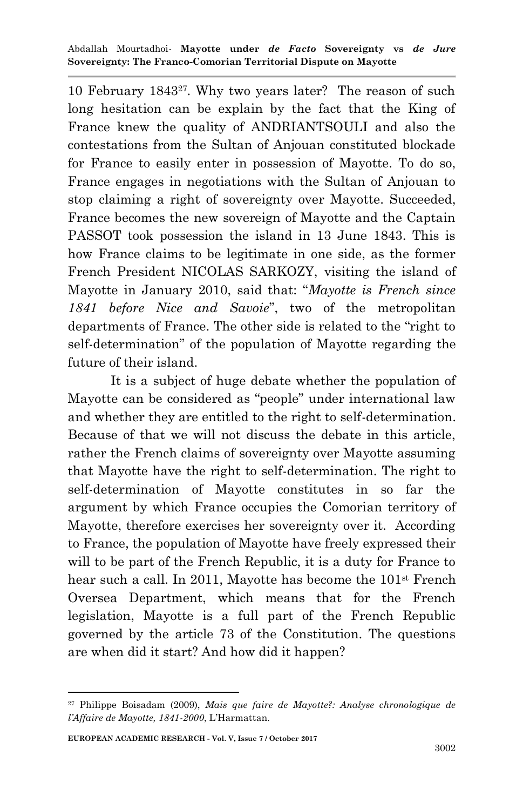10 February 184327. Why two years later? The reason of such long hesitation can be explain by the fact that the King of France knew the quality of ANDRIANTSOULI and also the contestations from the Sultan of Anjouan constituted blockade for France to easily enter in possession of Mayotte. To do so, France engages in negotiations with the Sultan of Anjouan to stop claiming a right of sovereignty over Mayotte. Succeeded, France becomes the new sovereign of Mayotte and the Captain PASSOT took possession the island in 13 June 1843. This is how France claims to be legitimate in one side, as the former French President NICOLAS SARKOZY, visiting the island of Mayotte in January 2010, said that: "*Mayotte is French since 1841 before Nice and Savoie*", two of the metropolitan departments of France. The other side is related to the "right to self-determination" of the population of Mayotte regarding the future of their island.

It is a subject of huge debate whether the population of Mayotte can be considered as "people" under international law and whether they are entitled to the right to self-determination. Because of that we will not discuss the debate in this article, rather the French claims of sovereignty over Mayotte assuming that Mayotte have the right to self-determination. The right to self-determination of Mayotte constitutes in so far the argument by which France occupies the Comorian territory of Mayotte, therefore exercises her sovereignty over it. According to France, the population of Mayotte have freely expressed their will to be part of the French Republic, it is a duty for France to hear such a call. In 2011, Mayotte has become the 101<sup>st</sup> French Oversea Department, which means that for the French legislation, Mayotte is a full part of the French Republic governed by the article 73 of the Constitution. The questions are when did it start? And how did it happen?

<sup>1</sup> <sup>27</sup> Philippe Boisadam (2009), *Mais que faire de Mayotte?: Analyse chronologique de l'Affaire de Mayotte, 1841-2000*, L"Harmattan.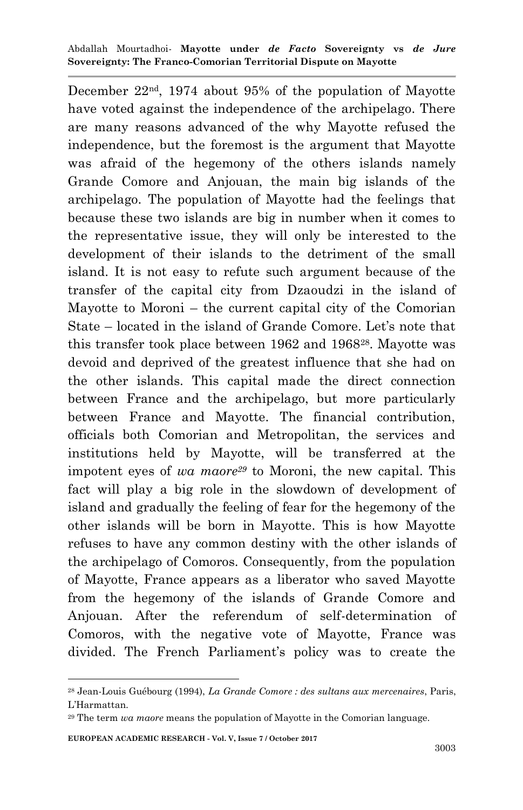December 22nd, 1974 about 95% of the population of Mayotte have voted against the independence of the archipelago. There are many reasons advanced of the why Mayotte refused the independence, but the foremost is the argument that Mayotte was afraid of the hegemony of the others islands namely Grande Comore and Anjouan, the main big islands of the archipelago. The population of Mayotte had the feelings that because these two islands are big in number when it comes to the representative issue, they will only be interested to the development of their islands to the detriment of the small island. It is not easy to refute such argument because of the transfer of the capital city from Dzaoudzi in the island of Mayotte to Moroni – the current capital city of the Comorian State – located in the island of Grande Comore. Let's note that this transfer took place between 1962 and 196828. Mayotte was devoid and deprived of the greatest influence that she had on the other islands. This capital made the direct connection between France and the archipelago, but more particularly between France and Mayotte. The financial contribution, officials both Comorian and Metropolitan, the services and institutions held by Mayotte, will be transferred at the impotent eyes of *wa maore<sup>29</sup>* to Moroni, the new capital. This fact will play a big role in the slowdown of development of island and gradually the feeling of fear for the hegemony of the other islands will be born in Mayotte. This is how Mayotte refuses to have any common destiny with the other islands of the archipelago of Comoros. Consequently, from the population of Mayotte, France appears as a liberator who saved Mayotte from the hegemony of the islands of Grande Comore and Anjouan. After the referendum of self-determination of Comoros, with the negative vote of Mayotte, France was divided. The French Parliament's policy was to create the

<sup>28</sup> Jean-Louis Guébourg (1994), *La Grande Comore : des sultans aux mercenaires*, Paris, L"Harmattan.

<sup>29</sup> The term *wa maore* means the population of Mayotte in the Comorian language.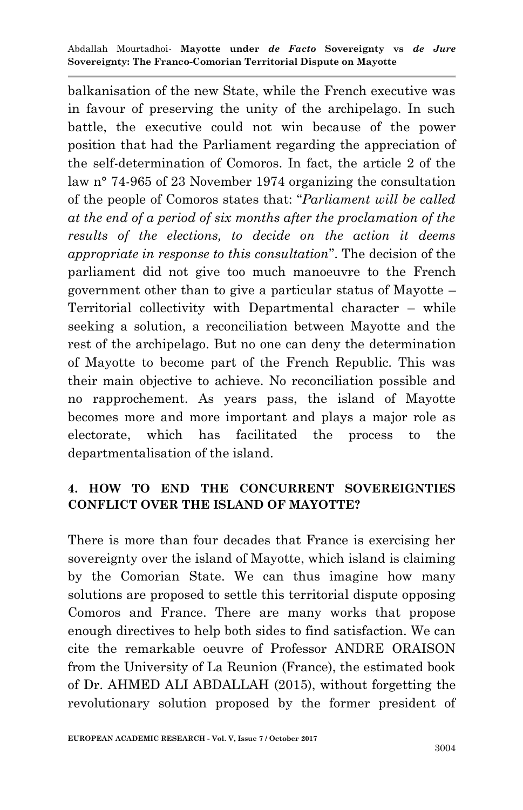balkanisation of the new State, while the French executive was in favour of preserving the unity of the archipelago. In such battle, the executive could not win because of the power position that had the Parliament regarding the appreciation of the self-determination of Comoros. In fact, the article 2 of the law n° 74-965 of 23 November 1974 organizing the consultation of the people of Comoros states that: "*Parliament will be called at the end of a period of six months after the proclamation of the results of the elections, to decide on the action it deems appropriate in response to this consultation*". The decision of the parliament did not give too much manoeuvre to the French government other than to give a particular status of Mayotte – Territorial collectivity with Departmental character – while seeking a solution, a reconciliation between Mayotte and the rest of the archipelago. But no one can deny the determination of Mayotte to become part of the French Republic. This was their main objective to achieve. No reconciliation possible and no rapprochement. As years pass, the island of Mayotte becomes more and more important and plays a major role as electorate, which has facilitated the process to the departmentalisation of the island.

# **4. HOW TO END THE CONCURRENT SOVEREIGNTIES CONFLICT OVER THE ISLAND OF MAYOTTE?**

There is more than four decades that France is exercising her sovereignty over the island of Mayotte, which island is claiming by the Comorian State. We can thus imagine how many solutions are proposed to settle this territorial dispute opposing Comoros and France. There are many works that propose enough directives to help both sides to find satisfaction. We can cite the remarkable oeuvre of Professor ANDRE ORAISON from the University of La Reunion (France), the estimated book of Dr. AHMED ALI ABDALLAH (2015), without forgetting the revolutionary solution proposed by the former president of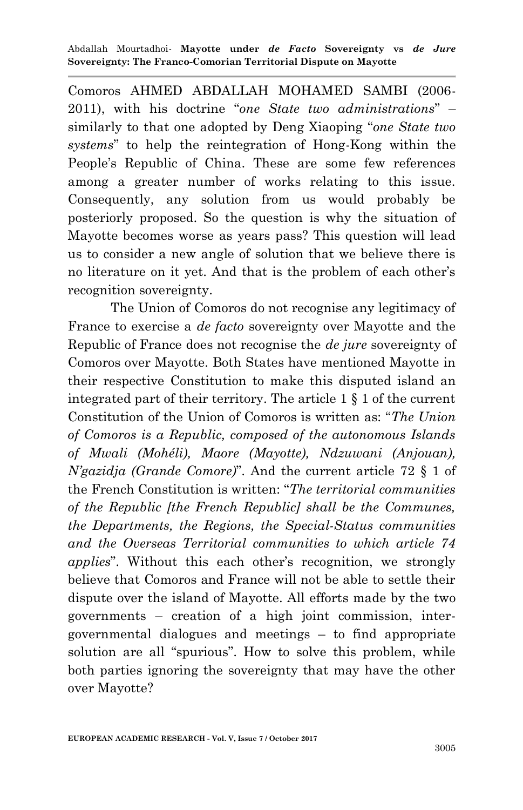Comoros AHMED ABDALLAH MOHAMED SAMBI (2006- 2011), with his doctrine "*one State two administrations*" – similarly to that one adopted by Deng Xiaoping "*one State two systems*" to help the reintegration of Hong-Kong within the People's Republic of China. These are some few references among a greater number of works relating to this issue. Consequently, any solution from us would probably be posteriorly proposed. So the question is why the situation of Mayotte becomes worse as years pass? This question will lead us to consider a new angle of solution that we believe there is no literature on it yet. And that is the problem of each other"s recognition sovereignty.

The Union of Comoros do not recognise any legitimacy of France to exercise a *de facto* sovereignty over Mayotte and the Republic of France does not recognise the *de jure* sovereignty of Comoros over Mayotte. Both States have mentioned Mayotte in their respective Constitution to make this disputed island an integrated part of their territory. The article 1 § 1 of the current Constitution of the Union of Comoros is written as: "*The Union of Comoros is a Republic, composed of the autonomous Islands of Mwali (Mohéli), Maore (Mayotte), Ndzuwani (Anjouan), N'gazidja (Grande Comore)*". And the current article 72 § 1 of the French Constitution is written: "*The territorial communities of the Republic [the French Republic] shall be the Communes, the Departments, the Regions, the Special-Status communities and the Overseas Territorial communities to which article 74 applies*". Without this each other's recognition, we strongly believe that Comoros and France will not be able to settle their dispute over the island of Mayotte. All efforts made by the two governments – creation of a high joint commission, intergovernmental dialogues and meetings – to find appropriate solution are all "spurious". How to solve this problem, while both parties ignoring the sovereignty that may have the other over Mayotte?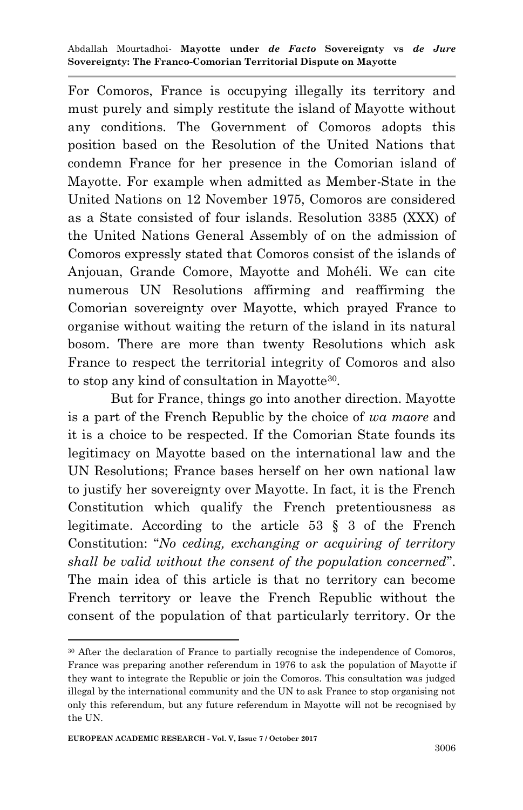For Comoros, France is occupying illegally its territory and must purely and simply restitute the island of Mayotte without any conditions. The Government of Comoros adopts this position based on the Resolution of the United Nations that condemn France for her presence in the Comorian island of Mayotte. For example when admitted as Member-State in the United Nations on 12 November 1975, Comoros are considered as a State consisted of four islands. Resolution 3385 (XXX) of the United Nations General Assembly of on the admission of Comoros expressly stated that Comoros consist of the islands of Anjouan, Grande Comore, Mayotte and Mohéli. We can cite numerous UN Resolutions affirming and reaffirming the Comorian sovereignty over Mayotte, which prayed France to organise without waiting the return of the island in its natural bosom. There are more than twenty Resolutions which ask France to respect the territorial integrity of Comoros and also to stop any kind of consultation in Mayotte<sup>30</sup>.

But for France, things go into another direction. Mayotte is a part of the French Republic by the choice of *wa maore* and it is a choice to be respected. If the Comorian State founds its legitimacy on Mayotte based on the international law and the UN Resolutions; France bases herself on her own national law to justify her sovereignty over Mayotte. In fact, it is the French Constitution which qualify the French pretentiousness as legitimate. According to the article 53 § 3 of the French Constitution: "*No ceding, exchanging or acquiring of territory shall be valid without the consent of the population concerned*". The main idea of this article is that no territory can become French territory or leave the French Republic without the consent of the population of that particularly territory. Or the

<sup>30</sup> After the declaration of France to partially recognise the independence of Comoros, France was preparing another referendum in 1976 to ask the population of Mayotte if they want to integrate the Republic or join the Comoros. This consultation was judged illegal by the international community and the UN to ask France to stop organising not only this referendum, but any future referendum in Mayotte will not be recognised by the UN.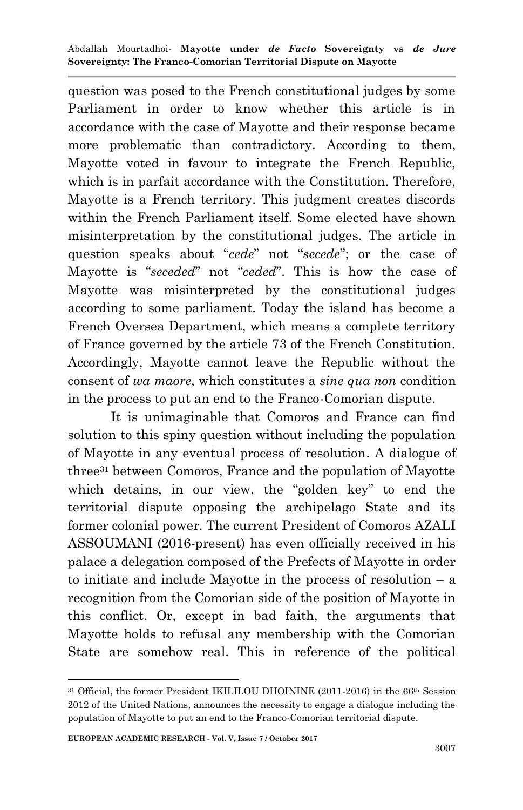question was posed to the French constitutional judges by some Parliament in order to know whether this article is in accordance with the case of Mayotte and their response became more problematic than contradictory. According to them, Mayotte voted in favour to integrate the French Republic, which is in parfait accordance with the Constitution. Therefore, Mayotte is a French territory. This judgment creates discords within the French Parliament itself. Some elected have shown misinterpretation by the constitutional judges. The article in question speaks about "*cede*" not "*secede*"; or the case of Mayotte is "*seceded*" not "*ceded*". This is how the case of Mayotte was misinterpreted by the constitutional judges according to some parliament. Today the island has become a French Oversea Department, which means a complete territory of France governed by the article 73 of the French Constitution. Accordingly, Mayotte cannot leave the Republic without the consent of *wa maore*, which constitutes a *sine qua non* condition in the process to put an end to the Franco-Comorian dispute.

It is unimaginable that Comoros and France can find solution to this spiny question without including the population of Mayotte in any eventual process of resolution. A dialogue of three<sup>31</sup> between Comoros, France and the population of Mayotte which detains, in our view, the "golden key" to end the territorial dispute opposing the archipelago State and its former colonial power. The current President of Comoros AZALI ASSOUMANI (2016-present) has even officially received in his palace a delegation composed of the Prefects of Mayotte in order to initiate and include Mayotte in the process of resolution – a recognition from the Comorian side of the position of Mayotte in this conflict. Or, except in bad faith, the arguments that Mayotte holds to refusal any membership with the Comorian State are somehow real. This in reference of the political

<sup>1</sup> <sup>31</sup> Official, the former President IKILILOU DHOININE (2011-2016) in the 66th Session 2012 of the United Nations, announces the necessity to engage a dialogue including the population of Mayotte to put an end to the Franco-Comorian territorial dispute.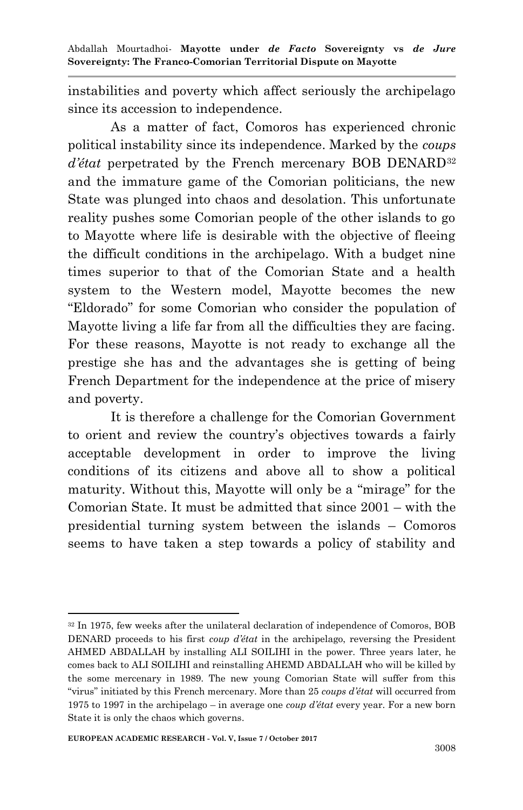instabilities and poverty which affect seriously the archipelago since its accession to independence.

As a matter of fact, Comoros has experienced chronic political instability since its independence. Marked by the *coups d'état* perpetrated by the French mercenary BOB DENARD<sup>32</sup> and the immature game of the Comorian politicians, the new State was plunged into chaos and desolation. This unfortunate reality pushes some Comorian people of the other islands to go to Mayotte where life is desirable with the objective of fleeing the difficult conditions in the archipelago. With a budget nine times superior to that of the Comorian State and a health system to the Western model, Mayotte becomes the new "Eldorado" for some Comorian who consider the population of Mayotte living a life far from all the difficulties they are facing. For these reasons, Mayotte is not ready to exchange all the prestige she has and the advantages she is getting of being French Department for the independence at the price of misery and poverty.

It is therefore a challenge for the Comorian Government to orient and review the country"s objectives towards a fairly acceptable development in order to improve the living conditions of its citizens and above all to show a political maturity. Without this, Mayotte will only be a "mirage" for the Comorian State. It must be admitted that since 2001 – with the presidential turning system between the islands – Comoros seems to have taken a step towards a policy of stability and

<sup>1</sup> <sup>32</sup> In 1975, few weeks after the unilateral declaration of independence of Comoros, BOB DENARD proceeds to his first *coup d'état* in the archipelago, reversing the President AHMED ABDALLAH by installing ALI SOILIHI in the power. Three years later, he comes back to ALI SOILIHI and reinstalling AHEMD ABDALLAH who will be killed by the some mercenary in 1989. The new young Comorian State will suffer from this "virus" initiated by this French mercenary. More than 25 *coups d'état* will occurred from 1975 to 1997 in the archipelago – in average one *coup d'état* every year. For a new born State it is only the chaos which governs.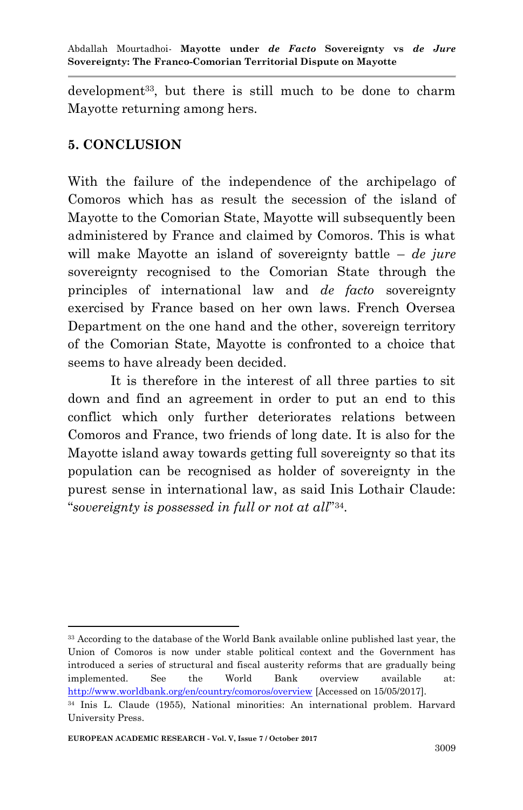development<sup>33</sup>, but there is still much to be done to charm Mayotte returning among hers.

#### **5. CONCLUSION**

With the failure of the independence of the archipelago of Comoros which has as result the secession of the island of Mayotte to the Comorian State, Mayotte will subsequently been administered by France and claimed by Comoros. This is what will make Mayotte an island of sovereignty battle – *de jure*  sovereignty recognised to the Comorian State through the principles of international law and *de facto* sovereignty exercised by France based on her own laws. French Oversea Department on the one hand and the other, sovereign territory of the Comorian State, Mayotte is confronted to a choice that seems to have already been decided.

It is therefore in the interest of all three parties to sit down and find an agreement in order to put an end to this conflict which only further deteriorates relations between Comoros and France, two friends of long date. It is also for the Mayotte island away towards getting full sovereignty so that its population can be recognised as holder of sovereignty in the purest sense in international law, as said Inis Lothair Claude: "*sovereignty is possessed in full or not at all*" 34 .

<sup>33</sup> According to the database of the World Bank available online published last year, the Union of Comoros is now under stable political context and the Government has introduced a series of structural and fiscal austerity reforms that are gradually being implemented. See the World Bank overview available at: <http://www.worldbank.org/en/country/comoros/overview> [Accessed on 15/05/2017]. <sup>34</sup> Inis L. Claude (1955), National minorities: An international problem. Harvard

University Press.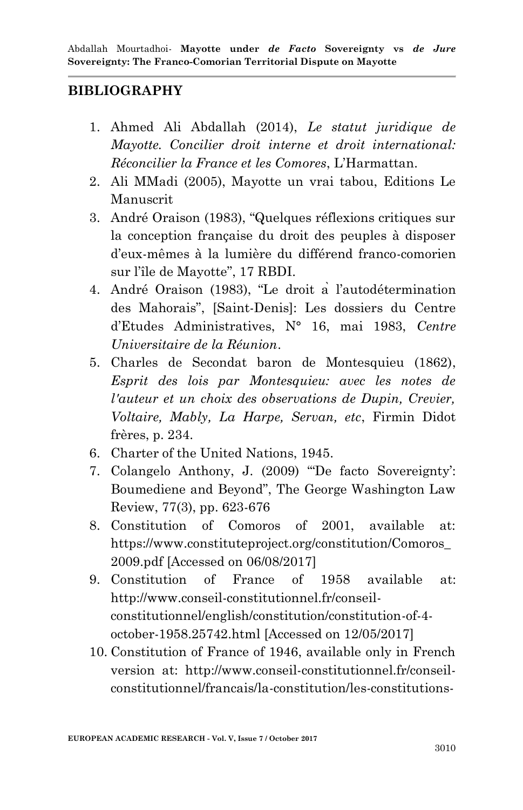#### **BIBLIOGRAPHY**

- 1. Ahmed Ali Abdallah (2014), *Le statut juridique de Mayotte. Concilier droit interne et droit international: Réconcilier la France et les Comores*, L"Harmattan.
- 2. Ali MMadi (2005), Mayotte un vrai tabou, Editions Le Manuscrit
- 3. André Oraison (1983), "Quelques réflexions critiques sur la conception française du droit des peuples à disposer d"eux-mêmes à la lumière du différend franco-comorien sur l"île de Mayotte", 17 RBDI.
- 4. André Oraison (1983), "Le droit a l"autodétermination des Mahorais", [Saint-Denis]: Les dossiers du Centre d"Etudes Administratives, N° 16, mai 1983, *Centre Universitaire de la Réunion*.
- 5. Charles de Secondat baron de Montesquieu (1862), *Esprit des lois par Montesquieu: avec les notes de l'auteur et un choix des observations de Dupin, Crevier, Voltaire, Mably, La Harpe, Servan, etc*, Firmin Didot frères, p. 234.
- 6. Charter of the United Nations, 1945.
- 7. Colangelo Anthony, J. (2009) ""De facto Sovereignty": Boumediene and Beyond", The George Washington Law Review, 77(3), pp. 623-676
- 8. Constitution of Comoros of 2001, available at: https://www.constituteproject.org/constitution/Comoros\_ 2009.pdf [Accessed on 06/08/2017]
- 9. Constitution of France of 1958 available at: http://www.conseil-constitutionnel.fr/conseilconstitutionnel/english/constitution/constitution-of-4 october-1958.25742.html [Accessed on 12/05/2017]
- 10. Constitution of France of 1946, available only in French version at: http://www.conseil-constitutionnel.fr/conseilconstitutionnel/francais/la-constitution/les-constitutions-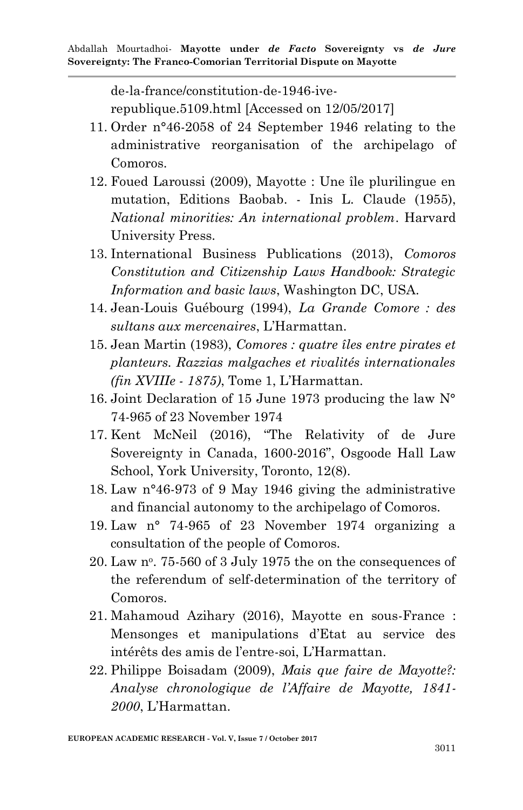de-la-france/constitution-de-1946-iverepublique.5109.html [Accessed on 12/05/2017]

- 11. Order n°46-2058 of 24 September 1946 relating to the administrative reorganisation of the archipelago of Comoros.
- 12. Foued Laroussi (2009), Mayotte : Une île plurilingue en mutation, Editions Baobab. - Inis L. Claude (1955), *National minorities: An international problem*. Harvard University Press.
- 13. International Business Publications (2013), *Comoros Constitution and Citizenship Laws Handbook: Strategic Information and basic laws*, Washington DC, USA.
- 14. Jean-Louis Guébourg (1994), *La Grande Comore : des sultans aux mercenaires*, L"Harmattan.
- 15. Jean Martin (1983), *Comores : quatre îles entre pirates et planteurs. Razzias malgaches et rivalités internationales (fin XVIIIe - 1875)*, Tome 1, L"Harmattan.
- 16. Joint Declaration of 15 June 1973 producing the law N° 74-965 of 23 November 1974
- 17. Kent McNeil (2016), "The Relativity of de Jure Sovereignty in Canada, 1600-2016", Osgoode Hall Law School, York University, Toronto, 12(8).
- 18. Law n°46-973 of 9 May 1946 giving the administrative and financial autonomy to the archipelago of Comoros.
- 19. Law n° 74-965 of 23 November 1974 organizing a consultation of the people of Comoros.
- $20.$  Law n°. 75-560 of 3 July 1975 the on the consequences of the referendum of self-determination of the territory of Comoros.
- 21. Mahamoud Azihary (2016), Mayotte en sous-France : Mensonges et manipulations d"Etat au service des intérêts des amis de l"entre-soi, L"Harmattan.
- 22. Philippe Boisadam (2009), *Mais que faire de Mayotte?: Analyse chronologique de l'Affaire de Mayotte, 1841- 2000*, L"Harmattan.